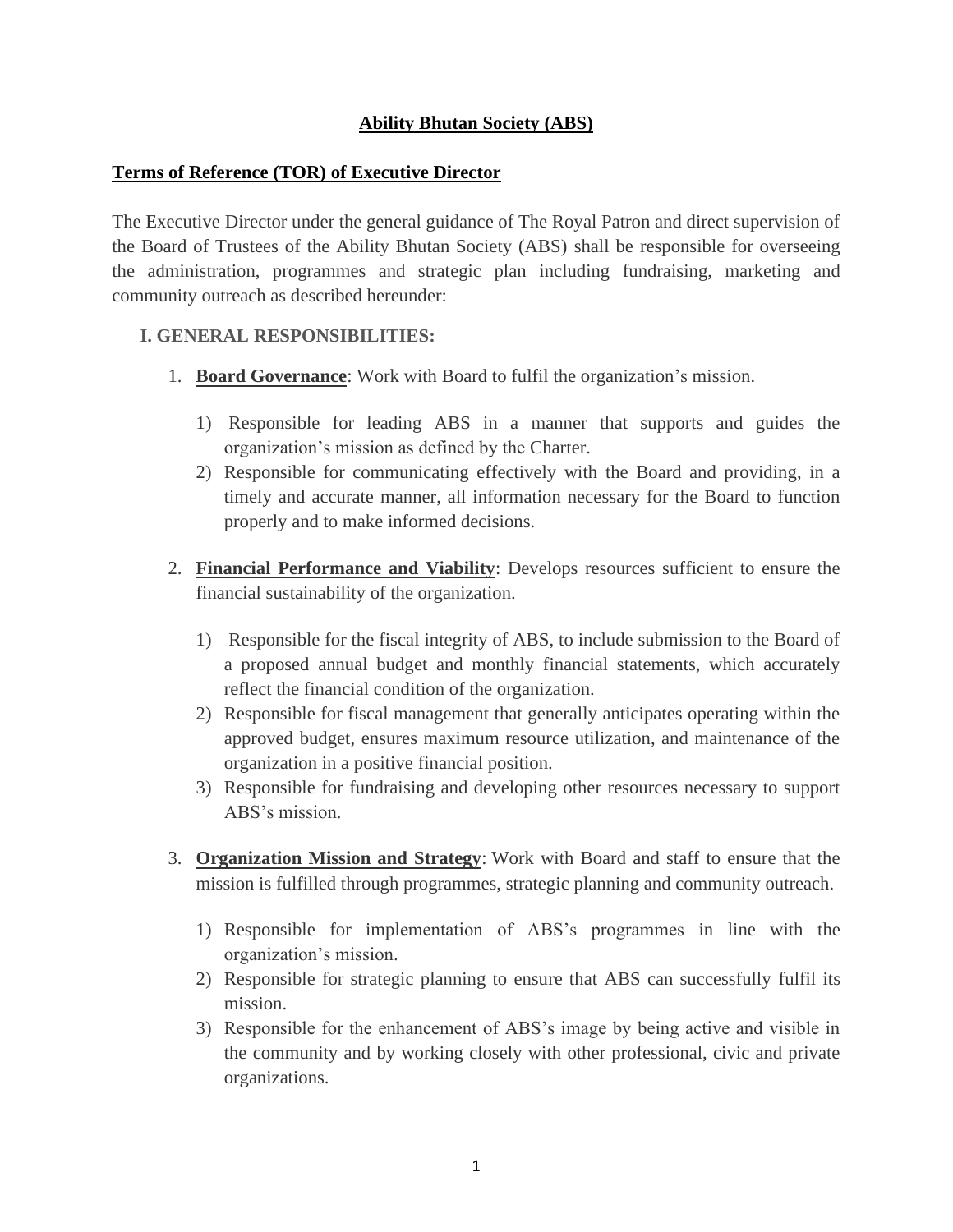# **Ability Bhutan Society (ABS)**

# **Terms of Reference (TOR) of Executive Director**

The Executive Director under the general guidance of The Royal Patron and direct supervision of the Board of Trustees of the Ability Bhutan Society (ABS) shall be responsible for overseeing the administration, programmes and strategic plan including fundraising, marketing and community outreach as described hereunder:

### **I. GENERAL RESPONSIBILITIES:**

- 1. **Board Governance**: Work with Board to fulfil the organization's mission.
	- 1) Responsible for leading ABS in a manner that supports and guides the organization's mission as defined by the Charter.
	- 2) Responsible for communicating effectively with the Board and providing, in a timely and accurate manner, all information necessary for the Board to function properly and to make informed decisions.
- 2. **Financial Performance and Viability**: Develops resources sufficient to ensure the financial sustainability of the organization.
	- 1) Responsible for the fiscal integrity of ABS, to include submission to the Board of a proposed annual budget and monthly financial statements, which accurately reflect the financial condition of the organization.
	- 2) Responsible for fiscal management that generally anticipates operating within the approved budget, ensures maximum resource utilization, and maintenance of the organization in a positive financial position.
	- 3) Responsible for fundraising and developing other resources necessary to support ABS's mission.
- 3. **Organization Mission and Strategy**: Work with Board and staff to ensure that the mission is fulfilled through programmes, strategic planning and community outreach.
	- 1) Responsible for implementation of ABS's programmes in line with the organization's mission.
	- 2) Responsible for strategic planning to ensure that ABS can successfully fulfil its mission.
	- 3) Responsible for the enhancement of ABS's image by being active and visible in the community and by working closely with other professional, civic and private organizations.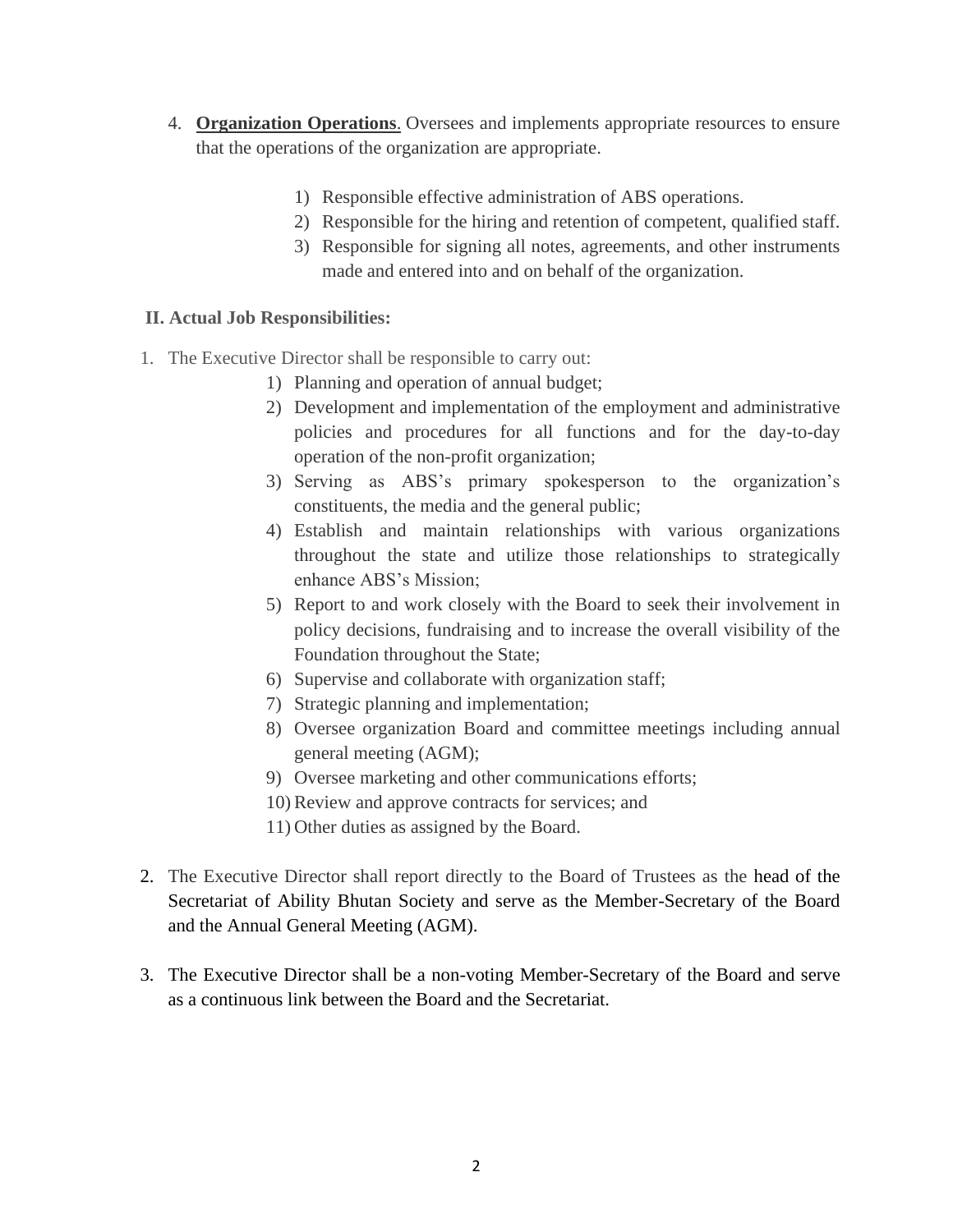- 4. **Organization Operations**. Oversees and implements appropriate resources to ensure that the operations of the organization are appropriate.
	- 1) Responsible effective administration of ABS operations.
	- 2) Responsible for the hiring and retention of competent, qualified staff.
	- 3) Responsible for signing all notes, agreements, and other instruments made and entered into and on behalf of the organization.

## **II. Actual Job Responsibilities:**

- 1. The Executive Director shall be responsible to carry out:
	- 1) Planning and operation of annual budget;
	- 2) Development and implementation of the employment and administrative policies and procedures for all functions and for the day-to-day operation of the non-profit organization;
	- 3) Serving as ABS's primary spokesperson to the organization's constituents, the media and the general public;
	- 4) Establish and maintain relationships with various organizations throughout the state and utilize those relationships to strategically enhance ABS's Mission;
	- 5) Report to and work closely with the Board to seek their involvement in policy decisions, fundraising and to increase the overall visibility of the Foundation throughout the State;
	- 6) Supervise and collaborate with organization staff;
	- 7) Strategic planning and implementation;
	- 8) Oversee organization Board and committee meetings including annual general meeting (AGM);
	- 9) Oversee marketing and other communications efforts;
	- 10) Review and approve contracts for services; and
	- 11) Other duties as assigned by the Board.
- 2. The Executive Director shall report directly to the Board of Trustees as the head of the Secretariat of Ability Bhutan Society and serve as the Member-Secretary of the Board and the Annual General Meeting (AGM).
- 3. The Executive Director shall be a non-voting Member-Secretary of the Board and serve as a continuous link between the Board and the Secretariat.